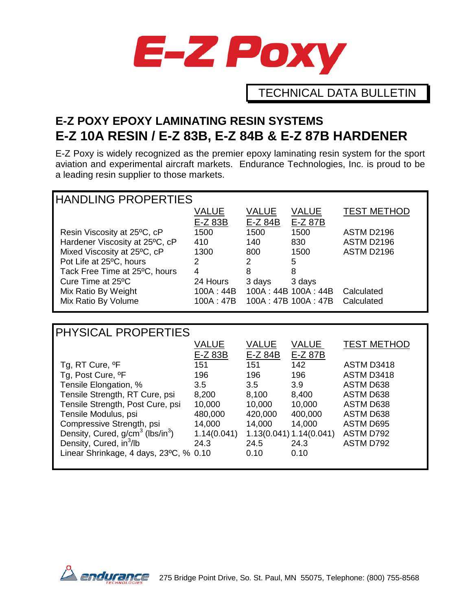

TECHNICAL DATA BULLETIN

# **E-Z POXY EPOXY LAMINATING RESIN SYSTEMS E-Z 10A RESIN / E-Z 83B, E-Z 84B & E-Z 87B HARDENER**

E-Z Poxy is widely recognized as the premier epoxy laminating resin system for the sport aviation and experimental aircraft markets. Endurance Technologies, Inc. is proud to be a leading resin supplier to those markets.

| <b>HANDLING PROPERTIES</b>     |           |          |                     |                    |  |  |
|--------------------------------|-----------|----------|---------------------|--------------------|--|--|
|                                | VALUE     | VALUE    | VALUE               | <b>TEST METHOD</b> |  |  |
|                                | E-Z 83B   | $E-Z84B$ | E-Z 87B             |                    |  |  |
| Resin Viscosity at 25°C, cP    | 1500      | 1500     | 1500                | ASTM D2196         |  |  |
| Hardener Viscosity at 25°C, cP | 410       | 140      | 830                 | <b>ASTM D2196</b>  |  |  |
| Mixed Viscosity at 25°C, cP    | 1300      | 800      | 1500                | ASTM D2196         |  |  |
| Pot Life at 25°C, hours        | 2         | 2        | 5                   |                    |  |  |
| Tack Free Time at 25°C, hours  | 4         | 8        | 8                   |                    |  |  |
| Cure Time at 25°C              | 24 Hours  | 3 days   | 3 days              |                    |  |  |
| Mix Ratio By Weight            | 100A:44B  |          | 100A: 44B 100A: 44B | Calculated         |  |  |
| Mix Ratio By Volume            | 100A: 47B |          | 100A: 47B 100A: 47B | Calculated         |  |  |

| PHYSICAL PROPERTIES                                      |              |              |                         |                    |  |  |
|----------------------------------------------------------|--------------|--------------|-------------------------|--------------------|--|--|
|                                                          | <b>VALUE</b> | <b>VALUE</b> | <b>VALUE</b>            | <b>TEST METHOD</b> |  |  |
|                                                          | E-Z 83B      | $E-Z84B$     | E-Z 87B                 |                    |  |  |
| Tg, RT Cure, <sup>o</sup> F                              | 151          | 151          | 142                     | ASTM D3418         |  |  |
| Tg, Post Cure, <sup>o</sup> F                            | 196          | 196          | 196                     | ASTM D3418         |  |  |
| Tensile Elongation, %                                    | 3.5          | 3.5          | 3.9                     | ASTM D638          |  |  |
| Tensile Strength, RT Cure, psi                           | 8,200        | 8,100        | 8,400                   | ASTM D638          |  |  |
| Tensile Strength, Post Cure, psi                         | 10,000       | 10,000       | 10,000                  | ASTM D638          |  |  |
| Tensile Modulus, psi                                     | 480,000      | 420,000      | 400,000                 | ASTM D638          |  |  |
| Compressive Strength, psi                                | 14,000       | 14,000       | 14,000                  | <b>ASTM D695</b>   |  |  |
| Density, Cured, g/cm <sup>3</sup> (lbs/in <sup>3</sup> ) | 1.14(0.041)  |              | 1.13(0.041) 1.14(0.041) | ASTM D792          |  |  |
| Density, Cured, in <sup>3</sup> /lb                      | 24.3         | 24.5         | 24.3                    | ASTM D792          |  |  |
| Linear Shrinkage, 4 days, 23°C, % 0.10                   |              | 0.10         | 0.10                    |                    |  |  |
|                                                          |              |              |                         |                    |  |  |